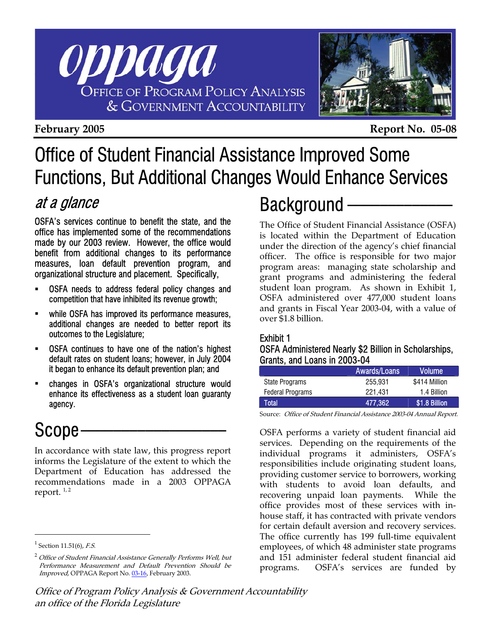

**February 2005 Report No. 05-08** 

## Office of Student Financial Assistance Improved Some Functions, But Additional Changes Would Enhance Services

### at a glance

OSFA's services continue to benefit the state, and the office has implemented some of the recommendations made by our 2003 review. However, the office would benefit from additional changes to its performance measures, loan default prevention program, and organizational structure and placement. Specifically,

- OSFA needs to address federal policy changes and competition that have inhibited its revenue growth;
- while OSFA has improved its performance measures, additional changes are needed to better report its outcomes to the Legislature;
- OSFA continues to have one of the nation's highest default rates on student loans; however, in July 2004 it began to enhance its default prevention plan; and
- changes in OSFA's organizational structure would enhance its effectiveness as a student loan guaranty agency.

### Scope.

In accordance with state law, this progress report informs the Legislature of the extent to which the Department of Education has addressed the recommendations made in a 2003 OPPAGA report.  $1, 2$ 

 $\overline{a}$ 

### Background -

The Office of Student Financial Assistance (OSFA) is located within the Department of Education under the direction of the agency's chief financial officer. The office is responsible for two major program areas: managing state scholarship and grant programs and administering the federal student loan program. As shown in Exhibit 1, OSFA administered over 477,000 student loans and grants in Fiscal Year 2003-04, with a value of over \$1.8 billion.

#### Exhibit 1

OSFA Administered Nearly \$2 Billion in Scholarships, Grants, and Loans in 2003-04

|                         | <b>Awards/Loans</b> | <b>Volume</b> |
|-------------------------|---------------------|---------------|
| <b>State Programs</b>   | 255.931             | \$414 Million |
| <b>Federal Programs</b> | 221.431             | 1.4 Billion   |
| Total                   | 477,362             | \$1.8 Billion |

Source: Office of Student Financial Assistance 2003-04 Annual Report.

OSFA performs a variety of student financial aid services. Depending on the requirements of the individual programs it administers, OSFA's responsibilities include originating student loans, providing customer service to borrowers, working with students to avoid loan defaults, and recovering unpaid loan payments. While the office provides most of these services with inhouse staff, it has contracted with private vendors for certain default aversion and recovery services. The office currently has 199 full-time equivalent employees, of which 48 administer state programs and 151 administer federal student financial aid programs. OSFA's services are funded by

 $^1$  Section 11.51(6), F.S.

 $2$  Office of Student Financial Assistance Generally Performs Well, but Performance Measurement and Default Prevention Should be Improved, OPPAGA Report [No. 03-16, Feb](http://www.oppaga.state.fl.us/reports/educ/r03-16s.html)ruary 2003.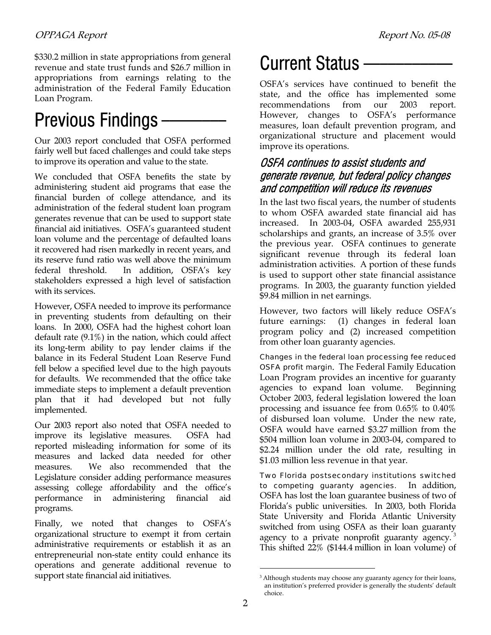\$330.2 million in state appropriations from general revenue and state trust funds and \$26.7 million in appropriations from earnings relating to the administration of the Federal Family Education Loan Program.

# Previous Findings —

Our 2003 report concluded that OSFA performed fairly well but faced challenges and could take steps to improve its operation and value to the state.

We concluded that OSFA benefits the state by administering student aid programs that ease the financial burden of college attendance, and its administration of the federal student loan program generates revenue that can be used to support state financial aid initiatives. OSFA's guaranteed student loan volume and the percentage of defaulted loans it recovered had risen markedly in recent years, and its reserve fund ratio was well above the minimum federal threshold. In addition, OSFA's key stakeholders expressed a high level of satisfaction with its services.

However, OSFA needed to improve its performance in preventing students from defaulting on their loans. In 2000, OSFA had the highest cohort loan default rate (9.1%) in the nation, which could affect its long-term ability to pay lender claims if the balance in its Federal Student Loan Reserve Fund fell below a specified level due to the high payouts for defaults. We recommended that the office take immediate steps to implement a default prevention plan that it had developed but not fully implemented.

Our 2003 report also noted that OSFA needed to improve its legislative measures. OSFA had reported misleading information for some of its measures and lacked data needed for other measures. We also recommended that the Legislature consider adding performance measures assessing college affordability and the office's performance in administering financial aid programs.

Finally, we noted that changes to OSFA's organizational structure to exempt it from certain administrative requirements or establish it as an entrepreneurial non-state entity could enhance its operations and generate additional revenue to support state financial aid initiatives.

## Current Status —

OSFA's services have continued to benefit the state, and the office has implemented some recommendations from our 2003 report. However, changes to OSFA's performance measures, loan default prevention program, and organizational structure and placement would improve its operations.

#### OSFA continues to assist students and generate revenue, but federal policy changes and competition will reduce its revenues

In the last two fiscal years, the number of students to whom OSFA awarded state financial aid has increased. In 2003-04, OSFA awarded 255,931 scholarships and grants, an increase of 3.5% over the previous year. OSFA continues to generate significant revenue through its federal loan administration activities. A portion of these funds is used to support other state financial assistance programs. In 2003, the guaranty function yielded \$9.84 million in net earnings.

However, two factors will likely reduce OSFA's future earnings: (1) changes in federal loan program policy and (2) increased competition from other loan guaranty agencies.

Changes in the federal loan processing fee reduced OSFA profit margin*.*The Federal Family Education Loan Program provides an incentive for guaranty agencies to expand loan volume. Beginning October 2003, federal legislation lowered the loan processing and issuance fee from 0.65% to 0.40% of disbursed loan volume. Under the new rate, OSFA would have earned \$3.27 million from the \$504 million loan volume in 2003-04, compared to \$2.24 million under the old rate, resulting in \$1.03 million less revenue in that year.

Two Florida postsecondary institutions switched to competing guaranty agencies. In addition, OSFA has lost the loan guarantee business of two of Florida's public universities. In 2003, both Florida State University and Florida Atlantic University switched from using OSFA as their loan guaranty agency to a private nonprofit guaranty agency.<sup>3</sup> This shifted 22% (\$144.4 million in loan volume) of

 $\overline{a}$ 

<sup>&</sup>lt;sup>3</sup> Although students may choose any guaranty agency for their loans, an institution's preferred provider is generally the students' default choice.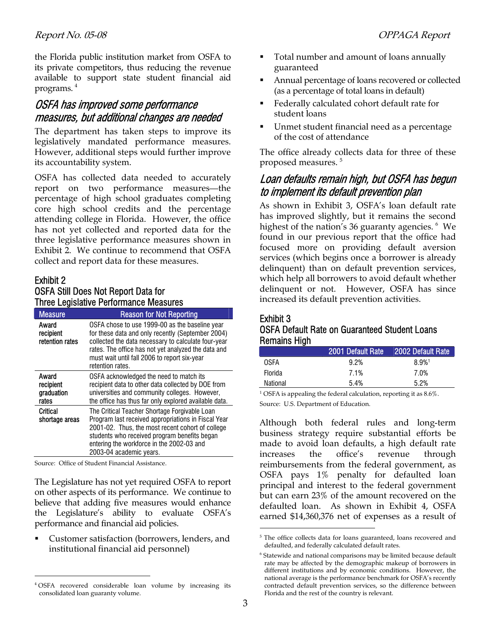the Florida public institution market from OSFA to its private competitors, thus reducing the revenue available to support state student financial aid programs. 4

#### OSFA has improved some performance measures, but additional changes are needed

The department has taken steps to improve its legislatively mandated performance measures. However, additional steps would further improve its accountability system.

OSFA has collected data needed to accurately report on two performance measures—the percentage of high school graduates completing core high school credits and the percentage attending college in Florida. However, the office has not yet collected and reported data for the three legislative performance measures shown in Exhibit 2. We continue to recommend that OSFA collect and report data for these measures.

#### Exhibit 2 OSFA Still Does Not Report Data for Three Legislative Performance Measures

| <b>Measure</b>                            | <b>Reason for Not Reporting</b>                                                                                                                                                                                                                                                       |  |
|-------------------------------------------|---------------------------------------------------------------------------------------------------------------------------------------------------------------------------------------------------------------------------------------------------------------------------------------|--|
| Award<br>recipient<br>retention rates     | OSFA chose to use 1999-00 as the baseline year<br>for these data and only recently (September 2004)<br>collected the data necessary to calculate four-year<br>rates. The office has not yet analyzed the data and<br>must wait until fall 2006 to report six-year<br>retention rates. |  |
| Award<br>recipient<br>graduation<br>rates | OSFA acknowledged the need to match its<br>recipient data to other data collected by DOE from<br>universities and community colleges. However,<br>the office has thus far only explored available data.                                                                               |  |
| Critical<br>shortage areas                | The Critical Teacher Shortage Forgivable Loan<br>Program last received appropriations in Fiscal Year<br>2001-02. Thus, the most recent cohort of college<br>students who received program benefits began<br>entering the workforce in the 2002-03 and<br>2003-04 academic years.      |  |

Source: Office of Student Financial Assistance.

 $\overline{a}$ 

The Legislature has not yet required OSFA to report on other aspects of its performance. We continue to believe that adding five measures would enhance the Legislature's ability to evaluate OSFA's performance and financial aid policies.

 Customer satisfaction (borrowers, lenders, and institutional financial aid personnel)

- **Total number and amount of loans annually** guaranteed
- Annual percentage of loans recovered or collected (as a percentage of total loans in default)
- Federally calculated cohort default rate for student loans
- Unmet student financial need as a percentage of the cost of attendance

The office already collects data for three of these proposed measures.<sup>5</sup>

### Loan defaults remain high, but OSFA has begun to implement its default prevention plan

As shown in Exhibit 3, OSFA's loan default rate has improved slightly, but it remains the second highest of the nation's 36 guaranty agencies. <sup>6</sup> We found in our previous report that the office had focused more on providing default aversion services (which begins once a borrower is already delinquent) than on default prevention services, which help all borrowers to avoid default whether delinquent or not. However, OSFA has since increased its default prevention activities.

#### Exhibit 3 OSFA Default Rate on Guaranteed Student Loans Remains High

| . .            |                   |                      |
|----------------|-------------------|----------------------|
|                | 2001 Default Rate | 2002 Default Rate    |
| OSFA           | 9.2%              | $8.9\%$ <sup>1</sup> |
| <b>Florida</b> | 7.1%              | 7.0%                 |
| National       | 5.4%              | 5.2%                 |
|                |                   |                      |

<sup>1</sup> OSFA is appealing the federal calculation, reporting it as  $8.6\%$ . Source: U.S. Department of Education.

Although both federal rules and long-term business strategy require substantial efforts be made to avoid loan defaults, a high default rate increases the office's revenue through reimbursements from the federal government, as OSFA pays 1% penalty for defaulted loan principal and interest to the federal government but can earn 23% of the amount recovered on the defaulted loan. As shown in Exhibit 4, OSFA earned \$14,360,376 net of expenses as a result of

 $\overline{a}$ 

<sup>4</sup> OSFA recovered considerable loan volume by increasing its consolidated loan guaranty volume.

<sup>&</sup>lt;sup>5</sup> The office collects data for loans guaranteed, loans recovered and defaulted, and federally calculated default rates.

<sup>&</sup>lt;sup>6</sup> Statewide and national comparisons may be limited because default rate may be affected by the demographic makeup of borrowers in different institutions and by economic conditions. However, the national average is the performance benchmark for OSFA's recently contracted default prevention services, so the difference between Florida and the rest of the country is relevant.